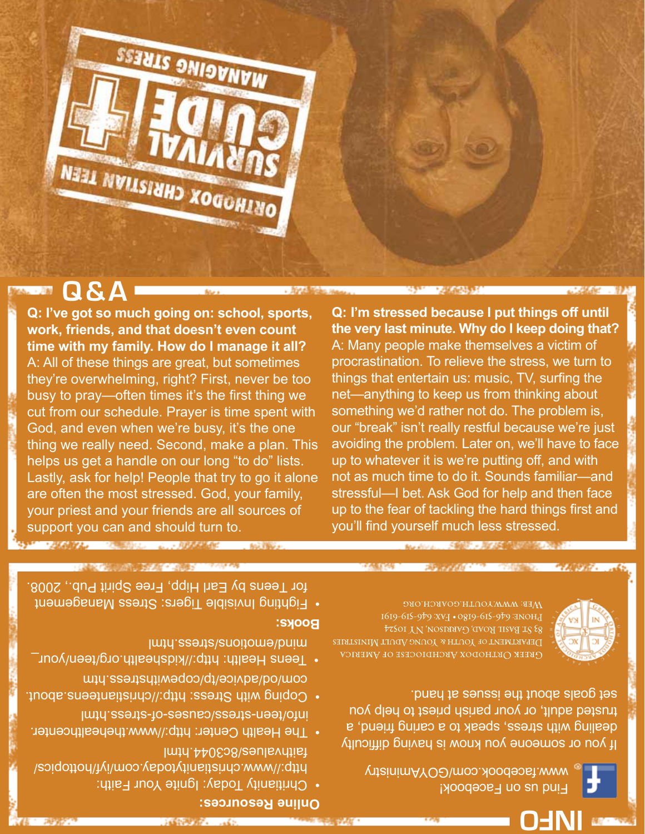| <b>Dhling Pasquirency</b> |  |
|---------------------------|--|
| <b>STORIES AND STATE</b>  |  |

- Chritianity Today: Ignite Your Faith: http://www.christianitytoday.com/iyf/hottopics/ faithvalues/8c3044.html
- The Health Center: http://www.thehealthcenter. info/teen-stress/causes-of-stress.html
- about. Coping with Stress: http://christianteens. com/od/aorice/tp/copewithstress.htm
- word Health: http://kidshealth.org/teen/your\_ mind/emotions/stress.html

#### **Books:**

 Fighting Invisible Tigers: Stress Management • for Teens by Earl Hipp, Free Spirit Pub., 2008.

**INFO**

DEPARTMENT OF YOU'R & YOUNG ADULT MINISTRIES Свеек Октиорох Авсиріосезе оғ Амевіса



BHOME: 046-919-612-0810 • EAS-615-619. [19] **S3 ST BASH ROAD, GARRISM, NY IOS24** 

Мев: www.youth.goarch.org

Find us on Facebook!

www.facebook.com/GOYAministry

If you or someone you know is having difficulty dealing with stress, speak to a caring friend, a trusted adult, or your parish priest to help you

**Q: I'm stressed because I put things off until the very last minute. Why do I keep doing that?**  A: Many people make themselves a victim of procrastination. To relieve the stress, we turn to things that entertain us: music, TV, surfing the net—anything to keep us from thinking about something we'd rather not do. The problem is, our "break" isn't really restful because we're just avoiding the problem. Later on, we'll have to face up to whatever it is we're putting off, and with not as much time to do it. Sounds familiar—and stressful—I bet. Ask God for help and then face up to the fear of tackling the hard things first and you'll find yourself much less stressed.

**Q & A**

**Q: I've got so much going on: school, sports,** 

Lastly, ask for help! People that try to go it alone are often the most stressed. God, your family, your priest and your friends are all sources of support you can and should turn to. **CARATZA CARRISOL AL ARASSMED** 

**work, friends, and that doesn't even count time with my family. How do I manage it all?** A: All of these things are great, but sometimes they're overwhelming, right? First, never be too busy to pray—often times it's the first thing we cut from our schedule. Prayer is time spent with God, and even when we're busy, it's the one thing we really need. Second, make a plan. This helps us get a handle on our long "to do" lists.

NEEL NWILSINHO XOGOHINO

MANAGING STRESS